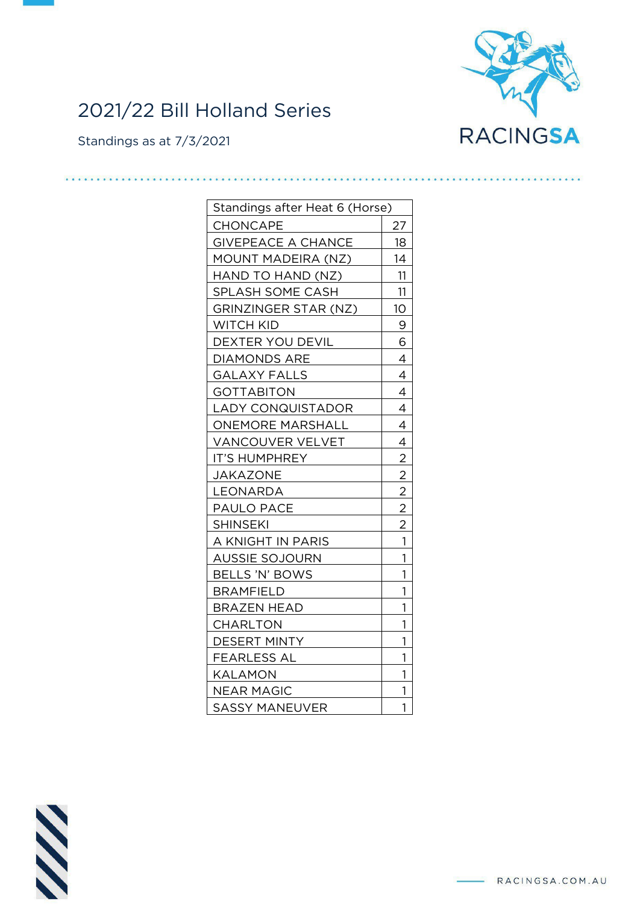

## 2021/22 Bill Holland Series

Standings as at 7/3/2021

| Standings after Heat 6 (Horse) |                |
|--------------------------------|----------------|
| CHONCAPE                       | 27             |
| <b>GIVEPEACE A CHANCE</b>      | 18             |
| MOUNT MADEIRA (NZ)             | 14             |
| HAND TO HAND (NZ)              | 11             |
| SPLASH SOME CASH               | 11             |
| GRINZINGER STAR (NZ)           | 10             |
| WITCH KID                      | 9              |
| DEXTER YOU DEVIL               | 6              |
| <b>DIAMONDS ARE</b>            | 4              |
| <b>GALAXY FALLS</b>            | 4              |
| <b>GOTTABITON</b>              | $\overline{4}$ |
| <b>LADY CONQUISTADOR</b>       | 4              |
| <b>ONEMORE MARSHALL</b>        | 4              |
| VANCOUVER VELVET               | 4              |
| <b>IT'S HUMPHREY</b>           |                |
| <b>JAKAZONE</b>                | $\frac{2}{2}$  |
| LEONARDA                       | $\overline{2}$ |
| <b>PAULO PACE</b>              | $\overline{2}$ |
| <b>SHINSEKI</b>                | $\overline{2}$ |
| A KNIGHT IN PARIS              | 1              |
| <b>AUSSIE SOJOURN</b>          | 1              |
| BELLS 'N' BOWS                 | 1              |
| <b>BRAMFIELD</b>               | 1              |
| <b>BRAZEN HEAD</b>             | 1              |
| <b>CHARLTON</b>                | 1              |
| <b>DESERT MINTY</b>            | 1              |
| FEARLESS AL                    | 1              |
| KALAMON                        | 1              |
| <b>NEAR MAGIC</b>              | 1              |
| <b>SASSY MANEUVER</b>          | 1              |

**N**